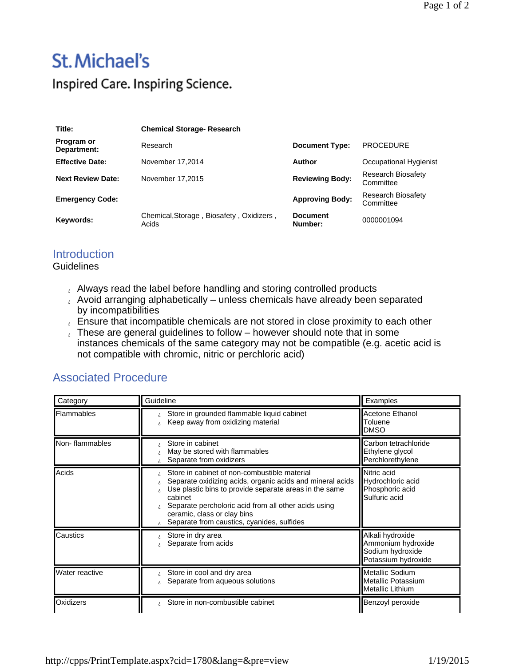## **St. Michael's** Inspired Care. Inspiring Science.

| Title:                    | <b>Chemical Storage-Research</b>                  |                            |                                        |
|---------------------------|---------------------------------------------------|----------------------------|----------------------------------------|
| Program or<br>Department: | Research                                          | <b>Document Type:</b>      | <b>PROCEDURE</b>                       |
| <b>Effective Date:</b>    | November 17,2014                                  | Author                     | Occupational Hygienist                 |
| <b>Next Review Date:</b>  | November 17,2015                                  | <b>Reviewing Body:</b>     | <b>Research Biosafety</b><br>Committee |
| <b>Emergency Code:</b>    |                                                   | <b>Approving Body:</b>     | <b>Research Biosafety</b><br>Committee |
| Keywords:                 | Chemical, Storage, Biosafety, Oxidizers,<br>Acids | <b>Document</b><br>Number: | 0000001094                             |

## **Introduction**

**Guidelines** 

- Let Always read the label before handling and storing controlled products
- Avoid arranging alphabetically unless chemicals have already been separated by incompatibilities
- $\epsilon$  Ensure that incompatible chemicals are not stored in close proximity to each other
- These are general guidelines to follow however should note that in some instances chemicals of the same category may not be compatible (e.g. acetic acid is not compatible with chromic, nitric or perchloric acid)

## Associated Procedure

| Category       | Guideline                                                                                                                                                                                                                                                                                                           | Examples                                                                          |
|----------------|---------------------------------------------------------------------------------------------------------------------------------------------------------------------------------------------------------------------------------------------------------------------------------------------------------------------|-----------------------------------------------------------------------------------|
| Flammables     | Store in grounded flammable liquid cabinet<br>Keep away from oxidizing material<br>ż.                                                                                                                                                                                                                               | Acetone Ethanol<br>Toluene<br><b>DMSO</b>                                         |
| Non-flammables | Store in cabinet<br>May be stored with flammables<br>Separate from oxidizers                                                                                                                                                                                                                                        | Carbon tetrachloride<br>Ethylene glycol<br>Perchlorethylene                       |
| Acids          | Store in cabinet of non-combustible material<br>Separate oxidizing acids, organic acids and mineral acids<br>Use plastic bins to provide separate areas in the same<br>cabinet<br>Separate percholoric acid from all other acids using<br>ceramic, class or clay bins<br>Separate from caustics, cyanides, sulfides | Nitric acid<br>Hydrochloric acid<br>Phosphoric acid<br>Sulfuric acid              |
| Caustics       | Store in dry area<br>Separate from acids                                                                                                                                                                                                                                                                            | Alkali hydroxide<br>Ammonium hydroxide<br>Sodium hydroxide<br>Potassium hydroxide |
| Water reactive | Store in cool and dry area<br>Separate from aqueous solutions                                                                                                                                                                                                                                                       | Metallic Sodium<br>Metallic Potassium<br>lMetallic Lithium                        |
| Oxidizers      | Store in non-combustible cabinet                                                                                                                                                                                                                                                                                    | Benzoyl peroxide                                                                  |